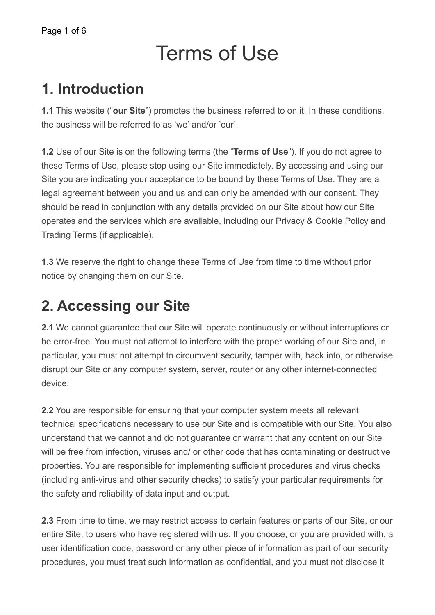# Terms of Use

### **1. Introduction**

**1.1** This website ("**our Site**") promotes the business referred to on it. In these conditions, the business will be referred to as 'we' and/or 'our'.

**1.2** Use of our Site is on the following terms (the "**Terms of Use**"). If you do not agree to these Terms of Use, please stop using our Site immediately. By accessing and using our Site you are indicating your acceptance to be bound by these Terms of Use. They are a legal agreement between you and us and can only be amended with our consent. They should be read in conjunction with any details provided on our Site about how our Site operates and the services which are available, including our Privacy & Cookie Policy and Trading Terms (if applicable).

**1.3** We reserve the right to change these Terms of Use from time to time without prior notice by changing them on our Site.

# **2. Accessing our Site**

**2.1** We cannot guarantee that our Site will operate continuously or without interruptions or be error-free. You must not attempt to interfere with the proper working of our Site and, in particular, you must not attempt to circumvent security, tamper with, hack into, or otherwise disrupt our Site or any computer system, server, router or any other internet-connected device.

**2.2** You are responsible for ensuring that your computer system meets all relevant technical specifications necessary to use our Site and is compatible with our Site. You also understand that we cannot and do not guarantee or warrant that any content on our Site will be free from infection, viruses and/ or other code that has contaminating or destructive properties. You are responsible for implementing sufficient procedures and virus checks (including anti-virus and other security checks) to satisfy your particular requirements for the safety and reliability of data input and output.

**2.3** From time to time, we may restrict access to certain features or parts of our Site, or our entire Site, to users who have registered with us. If you choose, or you are provided with, a user identification code, password or any other piece of information as part of our security procedures, you must treat such information as confidential, and you must not disclose it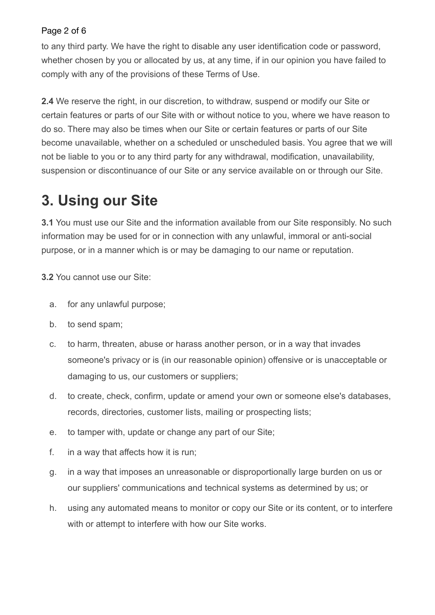#### Page 2 of 6

to any third party. We have the right to disable any user identification code or password, whether chosen by you or allocated by us, at any time, if in our opinion you have failed to comply with any of the provisions of these Terms of Use.

**2.4** We reserve the right, in our discretion, to withdraw, suspend or modify our Site or certain features or parts of our Site with or without notice to you, where we have reason to do so. There may also be times when our Site or certain features or parts of our Site become unavailable, whether on a scheduled or unscheduled basis. You agree that we will not be liable to you or to any third party for any withdrawal, modification, unavailability, suspension or discontinuance of our Site or any service available on or through our Site.

## **3. Using our Site**

**3.1** You must use our Site and the information available from our Site responsibly. No such information may be used for or in connection with any unlawful, immoral or anti-social purpose, or in a manner which is or may be damaging to our name or reputation.

**3.2** You cannot use our Site:

- a. for any unlawful purpose;
- b. to send spam;
- c. to harm, threaten, abuse or harass another person, or in a way that invades someone's privacy or is (in our reasonable opinion) offensive or is unacceptable or damaging to us, our customers or suppliers;
- d. to create, check, confirm, update or amend your own or someone else's databases, records, directories, customer lists, mailing or prospecting lists;
- e. to tamper with, update or change any part of our Site;
- f. in a way that affects how it is run;
- g. in a way that imposes an unreasonable or disproportionally large burden on us or our suppliers' communications and technical systems as determined by us; or
- h. using any automated means to monitor or copy our Site or its content, or to interfere with or attempt to interfere with how our Site works.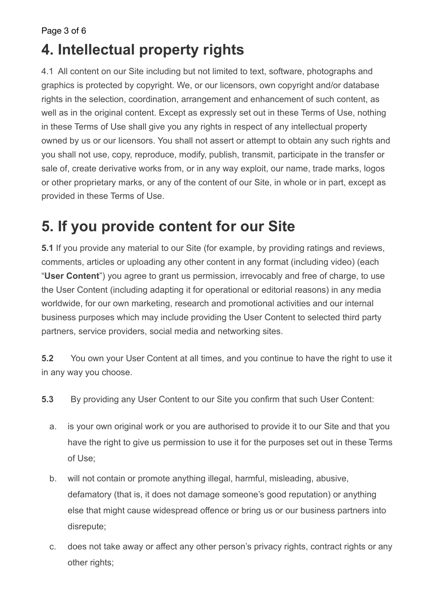Page 3 of 6

# **4. Intellectual property rights**

4.1 All content on our Site including but not limited to text, software, photographs and graphics is protected by copyright. We, or our licensors, own copyright and/or database rights in the selection, coordination, arrangement and enhancement of such content, as well as in the original content. Except as expressly set out in these Terms of Use, nothing in these Terms of Use shall give you any rights in respect of any intellectual property owned by us or our licensors. You shall not assert or attempt to obtain any such rights and you shall not use, copy, reproduce, modify, publish, transmit, participate in the transfer or sale of, create derivative works from, or in any way exploit, our name, trade marks, logos or other proprietary marks, or any of the content of our Site, in whole or in part, except as provided in these Terms of Use.

# **5. If you provide content for our Site**

**5.1** If you provide any material to our Site (for example, by providing ratings and reviews, comments, articles or uploading any other content in any format (including video) (each "**User Content**") you agree to grant us permission, irrevocably and free of charge, to use the User Content (including adapting it for operational or editorial reasons) in any media worldwide, for our own marketing, research and promotional activities and our internal business purposes which may include providing the User Content to selected third party partners, service providers, social media and networking sites.

**5.2** You own your User Content at all times, and you continue to have the right to use it in any way you choose.

- **5.3** By providing any User Content to our Site you confirm that such User Content:
	- a. is your own original work or you are authorised to provide it to our Site and that you have the right to give us permission to use it for the purposes set out in these Terms of Use;
	- b. will not contain or promote anything illegal, harmful, misleading, abusive, defamatory (that is, it does not damage someone's good reputation) or anything else that might cause widespread offence or bring us or our business partners into disrepute;
	- c. does not take away or affect any other person's privacy rights, contract rights or any other rights;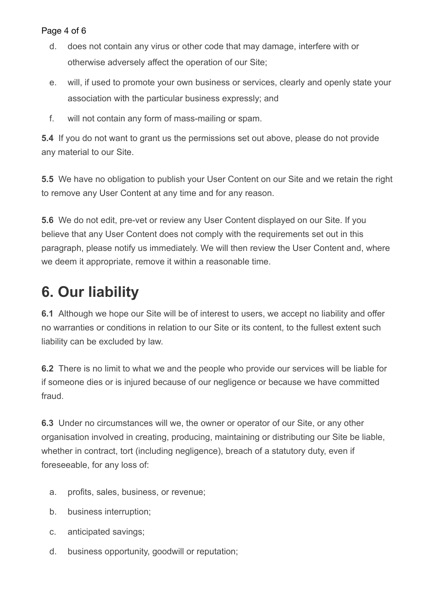#### Page 4 of 6

- d. does not contain any virus or other code that may damage, interfere with or otherwise adversely affect the operation of our Site;
- e. will, if used to promote your own business or services, clearly and openly state your association with the particular business expressly; and
- f. will not contain any form of mass-mailing or spam.

**5.4** If you do not want to grant us the permissions set out above, please do not provide any material to our Site.

**5.5** We have no obligation to publish your User Content on our Site and we retain the right to remove any User Content at any time and for any reason.

**5.6** We do not edit, pre-vet or review any User Content displayed on our Site. If you believe that any User Content does not comply with the requirements set out in this paragraph, please notify us immediately. We will then review the User Content and, where we deem it appropriate, remove it within a reasonable time.

# **6. Our liability**

**6.1** Although we hope our Site will be of interest to users, we accept no liability and offer no warranties or conditions in relation to our Site or its content, to the fullest extent such liability can be excluded by law.

**6.2** There is no limit to what we and the people who provide our services will be liable for if someone dies or is injured because of our negligence or because we have committed fraud.

**6.3** Under no circumstances will we, the owner or operator of our Site, or any other organisation involved in creating, producing, maintaining or distributing our Site be liable, whether in contract, tort (including negligence), breach of a statutory duty, even if foreseeable, for any loss of:

- a. profits, sales, business, or revenue;
- b. business interruption;
- c. anticipated savings;
- d. business opportunity, goodwill or reputation;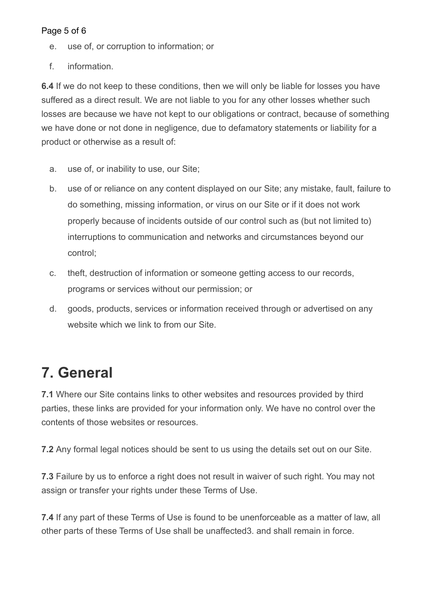#### Page 5 of 6

- e. use of, or corruption to information; or
- f. information.

**6.4** If we do not keep to these conditions, then we will only be liable for losses you have suffered as a direct result. We are not liable to you for any other losses whether such losses are because we have not kept to our obligations or contract, because of something we have done or not done in negligence, due to defamatory statements or liability for a product or otherwise as a result of:

- a. use of, or inability to use, our Site;
- b. use of or reliance on any content displayed on our Site; any mistake, fault, failure to do something, missing information, or virus on our Site or if it does not work properly because of incidents outside of our control such as (but not limited to) interruptions to communication and networks and circumstances beyond our control;
- c. theft, destruction of information or someone getting access to our records, programs or services without our permission; or
- d. goods, products, services or information received through or advertised on any website which we link to from our Site.

# **7. General**

**7.1** Where our Site contains links to other websites and resources provided by third parties, these links are provided for your information only. We have no control over the contents of those websites or resources.

**7.2** Any formal legal notices should be sent to us using the details set out on our Site.

**7.3** Failure by us to enforce a right does not result in waiver of such right. You may not assign or transfer your rights under these Terms of Use.

**7.4** If any part of these Terms of Use is found to be unenforceable as a matter of law, all other parts of these Terms of Use shall be unaffected3. and shall remain in force.